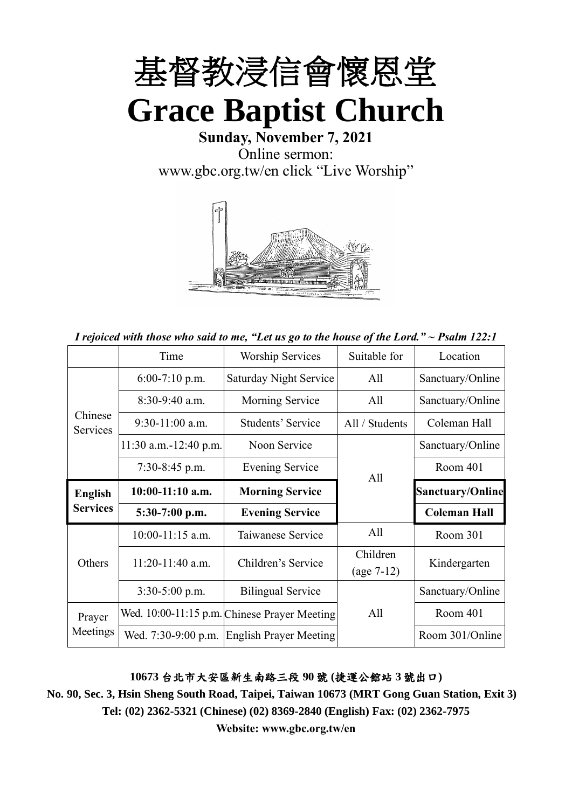

**Sunday, November 7, 2021** Online sermon: [www.gbc.org.tw/en](http://www.gbc.org.tw/en) click "Live Worship"



*I rejoiced with those who said to me, "Let us go to the house of the Lord." ~ Psalm 122:1*

|                     | Time                    | <b>Worship Services</b>                      | Suitable for   | Location                |
|---------------------|-------------------------|----------------------------------------------|----------------|-------------------------|
|                     | $6:00-7:10$ p.m.        | <b>Saturday Night Service</b>                | All            | Sanctuary/Online        |
|                     | $8:30-9:40$ a.m.        | Morning Service                              | All            | Sanctuary/Online        |
| Chinese<br>Services | $9:30-11:00$ a.m.       | Students' Service                            | All / Students | Coleman Hall            |
|                     | $11:30$ a.m.-12:40 p.m. | Noon Service                                 |                | Sanctuary/Online        |
|                     | 7:30-8:45 p.m.          | <b>Evening Service</b>                       | All            | Room 401                |
| <b>English</b>      | $10:00-11:10$ a.m.      | <b>Morning Service</b>                       |                | <b>Sanctuary/Online</b> |
| <b>Services</b>     | 5:30-7:00 p.m.          | <b>Evening Service</b>                       |                | <b>Coleman Hall</b>     |
|                     | 10:00-11:15 a.m.        | Taiwanese Service                            | All            | Room 301                |
| Others              | $11:20-11:40$ a.m.      | Children's Service                           | Children       | Kindergarten            |
|                     |                         |                                              | $(age 7-12)$   |                         |
|                     | $3:30-5:00$ p.m.        | <b>Bilingual Service</b>                     |                | Sanctuary/Online        |
| Prayer              |                         | Wed. 10:00-11:15 p.m. Chinese Prayer Meeting | All            | Room 401                |
| Meetings            | Wed. 7:30-9:00 p.m.     | <b>English Prayer Meeting</b>                |                | Room 301/Online         |

### **10673** 台北市大安區新生南路三段 **90** 號 **(**捷運公館站 **3** 號出口**)**

**No. 90, Sec. 3, Hsin Sheng South Road, Taipei, Taiwan 10673 (MRT Gong Guan Station, Exit 3) Tel: (02) 2362-5321 (Chinese) (02) 8369-2840 (English) Fax: (02) 2362-7975**

**Website: www.gbc.org.tw/en**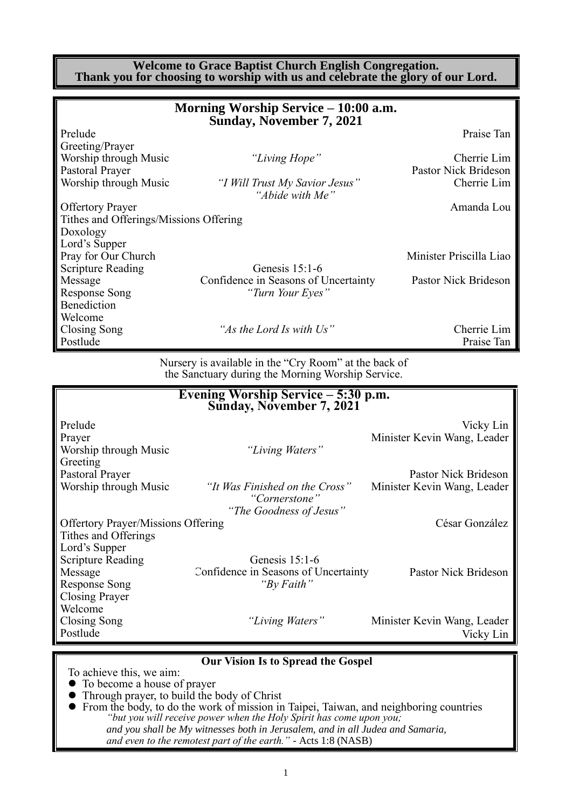**Welcome to Grace Baptist Church English Congregation. Thank you for choosing to worship with us and celebrate the glory of our Lord.**

|                                        | Morning Worship Service – 10:00 a.m.<br><b>Sunday, November 7, 2021</b> |                         |
|----------------------------------------|-------------------------------------------------------------------------|-------------------------|
| Prelude                                |                                                                         | Praise Tan              |
| Greeting/Prayer                        |                                                                         |                         |
| Worship through Music                  | "Living Hope"                                                           | Cherrie Lim             |
| Pastoral Prayer                        |                                                                         | Pastor Nick Brideson    |
| Worship through Music                  | "I Will Trust My Savior Jesus"<br>"Abide with Me"                       | Cherrie Lim             |
| <b>Offertory Prayer</b>                |                                                                         | Amanda Lou              |
| Tithes and Offerings/Missions Offering |                                                                         |                         |
| Doxology                               |                                                                         |                         |
| Lord's Supper                          |                                                                         |                         |
| Pray for Our Church                    |                                                                         | Minister Priscilla Liao |
| <b>Scripture Reading</b>               | Genesis $15:1-6$                                                        |                         |
| Message                                | Confidence in Seasons of Uncertainty                                    | Pastor Nick Brideson    |
| <b>Response Song</b>                   | "Turn Your Eyes"                                                        |                         |
| Benediction                            |                                                                         |                         |
| Welcome                                |                                                                         |                         |
| Closing Song                           | "As the Lord Is with Us"                                                | Cherrie Lim             |
| Postlude                               |                                                                         | Praise Tan              |

Nursery is available in the "Cry Room" at the back of the Sanctuary during the Morning Worship Service.

|                                           | Evening Worship Service $-5:30$ p.m.<br>Sunday, November 7, 2021 |                             |
|-------------------------------------------|------------------------------------------------------------------|-----------------------------|
| Prelude                                   |                                                                  | Vicky Lin                   |
| Prayer                                    |                                                                  | Minister Kevin Wang, Leader |
| Worship through Music                     | "Living Waters"                                                  |                             |
| Greeting                                  |                                                                  |                             |
| Pastoral Prayer                           |                                                                  | Pastor Nick Brideson        |
| Worship through Music                     | "It Was Finished on the Cross"<br>"Cornerstone"                  | Minister Kevin Wang, Leader |
|                                           | "The Goodness of Jesus"                                          |                             |
| <b>Offertory Prayer/Missions Offering</b> |                                                                  | César González              |
| Tithes and Offerings                      |                                                                  |                             |
| Lord's Supper                             |                                                                  |                             |
| <b>Scripture Reading</b>                  | Genesis $15:1-6$                                                 |                             |
| Message                                   | Confidence in Seasons of Uncertainty                             | Pastor Nick Brideson        |
| Response Song                             | "By Faith"                                                       |                             |
| Closing Prayer                            |                                                                  |                             |
| Welcome                                   |                                                                  |                             |
| Closing Song                              | "Living Waters"                                                  | Minister Kevin Wang, Leader |
| Postlude                                  |                                                                  | Vicky Lin                   |
|                                           |                                                                  |                             |

**Our Vision Is to Spread the Gospel**

To achieve this, we aim:

- ⚫ To become a house of prayer
- ⚫ Through prayer, to build the body of Christ
- ⚫ From the body, to do the work of mission in Taipei, Taiwan, and neighboring countries *"but you will receive power when the Holy Spirit has come upon you; and you shall be My witnesses both in Jerusalem, and in all Judea and Samaria, and even to the remotest part of the earth." -* Acts 1:8 (NASB)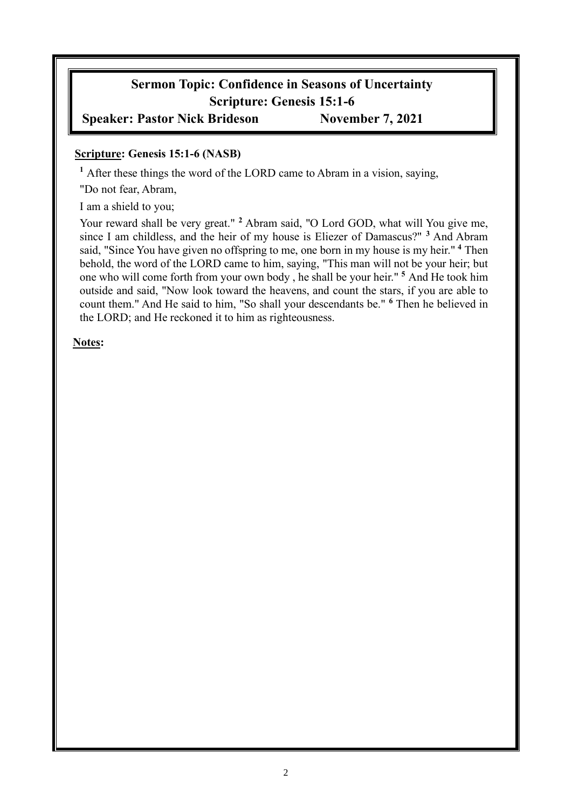# **Sermon Topic: Confidence in Seasons of Uncertainty Scripture: Genesis 15:1-6**

## **Speaker: Pastor Nick Brideson November 7, 2021**

### **Scripture: Genesis 15:1-6 (NASB)**

**<sup>1</sup>** After these things the word of the LORD came to Abram in a vision, saying,

"Do not fear, Abram,

I am a shield to you;

Your reward shall be very great." <sup>2</sup> Abram said, "O Lord GOD, what will You give me, since I am childless, and the heir of my house is Eliezer of Damascus?" **<sup>3</sup>** And Abram said, "Since You have given no offspring to me, one born in my house is my heir." **<sup>4</sup>** Then behold, the word of the LORD came to him, saying, "This man will not be your heir; but one who will come forth from your own body , he shall be your heir." **<sup>5</sup>** And He took him outside and said, "Now look toward the heavens, and count the stars, if you are able to count them." And He said to him, "So shall your descendants be." **<sup>6</sup>** Then he believed in the LORD; and He reckoned it to him as righteousness.

**Notes:**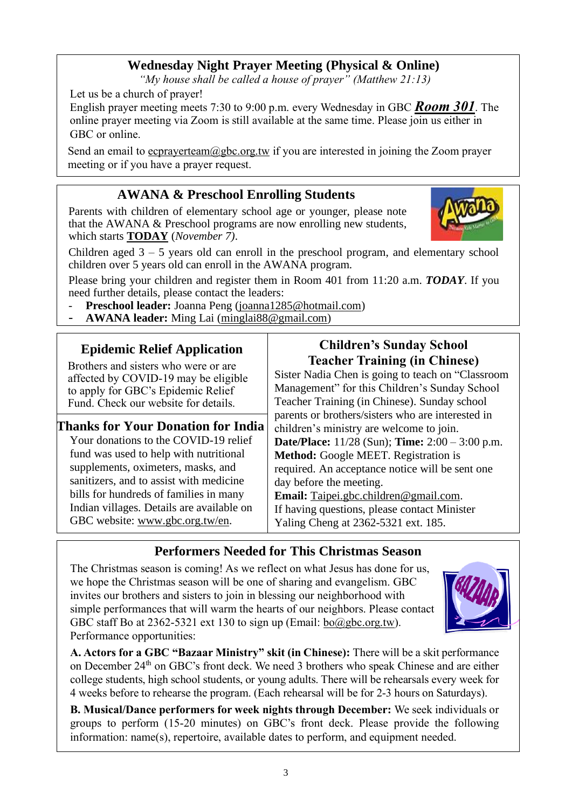## **Wednesday Night Prayer Meeting (Physical & Online)**

*"My house shall be called a house of prayer" (Matthew 21:13)*

Let us be a church of prayer!

English prayer meeting meets 7:30 to 9:00 p.m. every Wednesday in GBC *Room 301*. The online prayer meeting via Zoom is still available at the same time. Please join us either in GBC or online.

Send an email to ecprayerteam@gbc.org.tw if you are interested in joining the Zoom prayer meeting or if you have a prayer request.

### **AWANA & Preschool Enrolling Students**

Parents with children of elementary school age or younger, please note that the AWANA & Preschool programs are now enrolling new students, which starts **TODAY** (*November 7)*.

Children aged  $3 - 5$  years old can enroll in the preschool program, and elementary school children over 5 years old can enroll in the AWANA program.

Please bring your children and register them in Room 401 from 11:20 a.m. *TODAY*. If you need further details, please contact the leaders:

- **Preschool leader:** Joanna Peng [\(joanna1285@hotmail.com\)](mailto:joanna1285@hotmail.com)
- AWANA leader: Ming Lai [\(minglai88@gmail.com\)](mailto:minglai88@gmail.com)

### **Epidemic Relief Application**

Brothers and sisters who were or are affected by COVID-19 may be eligible to apply for GBC's Epidemic Relief Fund. Check our website for details.

### **Thanks for Your Donation for India** Your donations to the COVID-19 relief fund was used to help with nutritional supplements, oximeters, masks, and sanitizers, and to assist with medicine bills for hundreds of families in many Indian villages. Details are available on GBC website: [www.gbc.org.tw/en.](http://www.gbc.org.tw/en)

### **Children's Sunday School Teacher Training (in Chinese)**

Sister Nadia Chen is going to teach on "Classroom Management" for this Children's Sunday School Teacher Training (in Chinese). Sunday school parents or brothers/sisters who are interested in children's ministry are welcome to join. **Date/Place:** 11/28 (Sun); **Time:** 2:00 – 3:00 p.m. **Method:** Google MEET. Registration is required. An acceptance notice will be sent one day before the meeting. **Email:** [Taipei.gbc.children@gmail.com.](mailto:Taipei.gbc.children@gmail.com) If having questions, please contact Minister Yaling Cheng at 2362-5321 ext. 185.

### **Performers Needed for This Christmas Season**

The Christmas season is coming! As we reflect on what Jesus has done for us, we hope the Christmas season will be one of sharing and evangelism. GBC invites our brothers and sisters to join in blessing our neighborhood with simple performances that will warm the hearts of our neighbors. Please contact GBC staff Bo at 2362-5321 ext 130 to sign up (Email:  $b_0$ @gbc.org.tw). Performance opportunities:

**A. Actors for a GBC "Bazaar Ministry" skit (in Chinese):** There will be a skit performance on December 24<sup>th</sup> on GBC's front deck. We need 3 brothers who speak Chinese and are either college students, high school students, or young adults. There will be rehearsals every week for 4 weeks before to rehearse the program. (Each rehearsal will be for 2-3 hours on Saturdays).

**B. Musical/Dance performers for week nights through December:** We seek individuals or groups to perform (15-20 minutes) on GBC's front deck. Please provide the following information: name(s), repertoire, available dates to perform, and equipment needed.



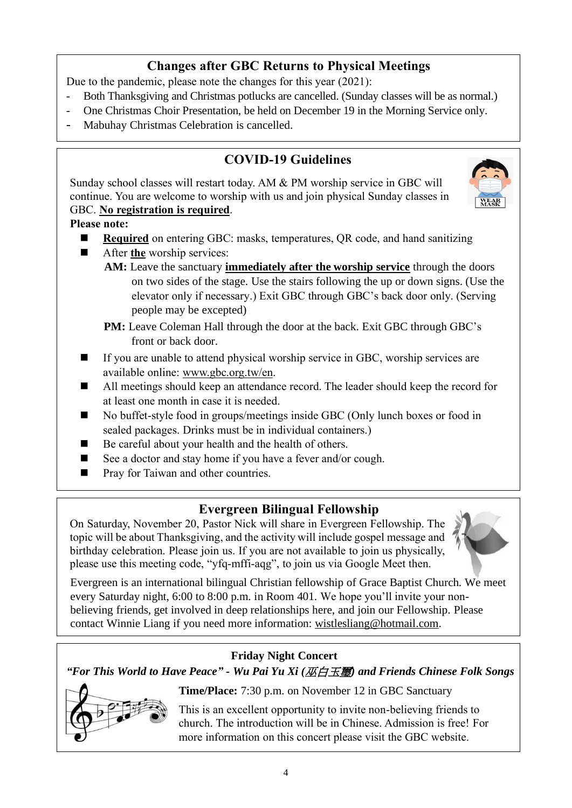## **Changes after GBC Returns to Physical Meetings**

Due to the pandemic, please note the changes for this year (2021):

- Both Thanksgiving and Christmas potlucks are cancelled. (Sunday classes will be as normal.)
- One Christmas Choir Presentation, be held on December 19 in the Morning Service only.
- Mabuhay Christmas Celebration is cancelled.

## **COVID-19 Guidelines**

Sunday school classes will restart today. AM & PM worship service in GBC will continue. You are welcome to worship with us and join physical Sunday classes in GBC. **No registration is required**.



### **Please note:**

- **Required** on entering GBC: masks, temperatures, QR code, and hand sanitizing
- After **the** worship services:
	- **AM:** Leave the sanctuary **immediately after the worship service** through the doors on two sides of the stage. Use the stairs following the up or down signs. (Use the elevator only if necessary.) Exit GBC through GBC's back door only. (Serving people may be excepted)
	- **PM:** Leave Coleman Hall through the door at the back. Exit GBC through GBC's front or back door.
- If you are unable to attend physical worship service in GBC, worship services are available online: [www.gbc.org.tw/en.](http://www.gbc.org.tw/en)
- All meetings should keep an attendance record. The leader should keep the record for at least one month in case it is needed.
- ◼ No buffet-style food in groups/meetings inside GBC (Only lunch boxes or food in sealed packages. Drinks must be in individual containers.)
- Be careful about your health and the health of others.
- See a doctor and stay home if you have a fever and/or cough.
- Pray for Taiwan and other countries.

### **Evergreen Bilingual Fellowship**

On Saturday, November 20, Pastor Nick will share in Evergreen Fellowship. The topic will be about Thanksgiving, and the activity will include gospel message and birthday celebration. Please join us. If you are not available to join us physically, please use this meeting code, "yfq-mffi-aqg", to join us via Google Meet then.

Evergreen is an international bilingual Christian fellowship of Grace Baptist Church. We meet every Saturday night, 6:00 to 8:00 p.m. in Room 401. We hope you'll invite your nonbelieving friends, get involved in deep relationships here, and join our Fellowship. Please contact Winnie Liang if you need more information: [wistlesliang@hotmail.com.](mailto:wistlesliang@hotmail.com)

### **Friday Night Concert**

*"For This World to Have Peace" - Wu Pai Yu Xi (*巫白玉璽*) and Friends Chinese Folk Songs*



**Time/Place:** 7:30 p.m. on November 12 in GBC Sanctuary

This is an excellent opportunity to invite non-believing friends to church. The introduction will be in Chinese. Admission is free! For more information on this concert please visit the GBC website.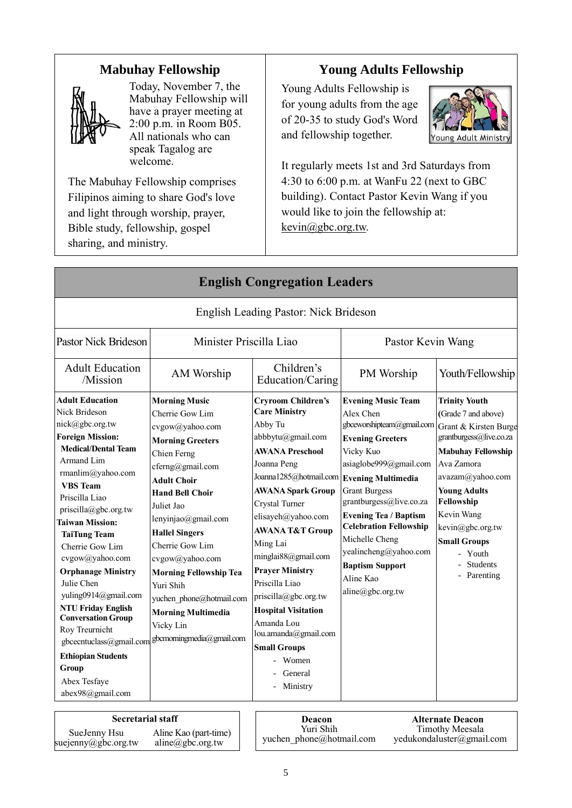### **Mabuhay Fellowship**



Today, November 7, the Mabuhay Fellowship will have a prayer meeting at 2:00 p.m. in Room B05. All nationals who can speak Tagalog are welcome.

The Mabuhay Fellowship comprises Filipinos aiming to share God's love and light through worship, prayer, Bible study, fellowship, gospel sharing, and ministry.

## **Young Adults Fellowship**

Young Adults Fellowship is for young adults from the age of 20-35 to study God's Word and fellowship together.



It regularly meets 1st and 3rd Saturdays from 4:30 to 6:00 p.m. at WanFu 22 (next to GBC building). Contact Pastor Kevin Wang if you would like to join the fellowship at: [kevin@gbc.org.tw.](mailto:kevin@gbc.org.tw)

| <b>English Congregation Leaders</b>                                                                                                                                                                                                                                                                                                                                                                                                                                                                                                                                        |                                                                                                                                                                                                                                                                                                                                                                                                                        |                                                                                                                                                                                                                                                                                                                                                                                                                                                                                                             |                                                                                                                                                                                                                                                                                                                                                                 |                                                                                                                                                                                                                                                                                                           |
|----------------------------------------------------------------------------------------------------------------------------------------------------------------------------------------------------------------------------------------------------------------------------------------------------------------------------------------------------------------------------------------------------------------------------------------------------------------------------------------------------------------------------------------------------------------------------|------------------------------------------------------------------------------------------------------------------------------------------------------------------------------------------------------------------------------------------------------------------------------------------------------------------------------------------------------------------------------------------------------------------------|-------------------------------------------------------------------------------------------------------------------------------------------------------------------------------------------------------------------------------------------------------------------------------------------------------------------------------------------------------------------------------------------------------------------------------------------------------------------------------------------------------------|-----------------------------------------------------------------------------------------------------------------------------------------------------------------------------------------------------------------------------------------------------------------------------------------------------------------------------------------------------------------|-----------------------------------------------------------------------------------------------------------------------------------------------------------------------------------------------------------------------------------------------------------------------------------------------------------|
|                                                                                                                                                                                                                                                                                                                                                                                                                                                                                                                                                                            |                                                                                                                                                                                                                                                                                                                                                                                                                        | English Leading Pastor: Nick Brideson                                                                                                                                                                                                                                                                                                                                                                                                                                                                       |                                                                                                                                                                                                                                                                                                                                                                 |                                                                                                                                                                                                                                                                                                           |
| <b>Pastor Nick Brideson</b><br>Minister Priscilla Liao                                                                                                                                                                                                                                                                                                                                                                                                                                                                                                                     |                                                                                                                                                                                                                                                                                                                                                                                                                        |                                                                                                                                                                                                                                                                                                                                                                                                                                                                                                             | Pastor Kevin Wang                                                                                                                                                                                                                                                                                                                                               |                                                                                                                                                                                                                                                                                                           |
| <b>Adult Education</b><br>/Mission                                                                                                                                                                                                                                                                                                                                                                                                                                                                                                                                         | AM Worship                                                                                                                                                                                                                                                                                                                                                                                                             | Children's<br>Education/Caring                                                                                                                                                                                                                                                                                                                                                                                                                                                                              | PM Worship                                                                                                                                                                                                                                                                                                                                                      | Youth/Fellowship                                                                                                                                                                                                                                                                                          |
| <b>Adult Education</b><br>Nick Brideson<br>nick@gbc.org.tw<br><b>Foreign Mission:</b><br><b>Medical/Dental Team</b><br>Armand Lim<br>rmanlim@yahoo.com<br><b>VBS</b> Team<br>Priscilla Liao<br>$priscilla(\partial gbc.org.tw)$<br><b>Taiwan Mission:</b><br><b>TaiTung Team</b><br>Cherrie Gow Lim<br>cvgow@yahoo.com<br><b>Orphanage Ministry</b><br>Julie Chen<br>yuling0914@gmail.com<br><b>NTU Friday English</b><br><b>Conversation Group</b><br>Roy Treurnicht<br>gbcecntuclass@gmail.com<br><b>Ethiopian Students</b><br>Group<br>Abex Tesfaye<br>abex98@gmail.com | <b>Morning Music</b><br>Cherrie Gow Lim<br>cvgow@yahoo.com<br><b>Morning Greeters</b><br>Chien Ferng<br>cferng@gmail.com<br>Adult Choir<br><b>Hand Bell Choir</b><br>Juliet Jao<br>lenyinjao@gmail.com<br><b>Hallel Singers</b><br>Cherrie Gow Lim<br>cvgow@yahoo.com<br><b>Morning Fellowship Tea</b><br>Yuri Shih<br>yuchen phone@hotmail.com<br><b>Morning Multimedia</b><br>Vicky Lin<br>gbcmorningmedia@gmail.com | <b>Cryroom Children's</b><br><b>Care Ministry</b><br>Abby Tu<br>abbbytu@gmail.com<br><b>AWANA Preschool</b><br>Joanna Peng<br>Joanna1285@hotmail.com Evening Multimedia<br><b>AWANA Spark Group</b><br>Crystal Turner<br>elisayeh@yahoo.com<br><b>AWANA T&amp;T Group</b><br>Ming Lai<br>minglai88@gmail.com<br><b>Prayer Ministry</b><br>Priscilla Liao<br>priscilla@gbc.org.tw<br><b>Hospital Visitation</b><br>Amanda Lou<br>lou.amanda@gmail.com<br><b>Small Groups</b><br>Women<br>General<br>Ministry | <b>Evening Music Team</b><br>Alex Chen<br>gbceworshipteam@gmail.com<br><b>Evening Greeters</b><br>Vicky Kuo<br>asiaglobe999@gmail.com<br><b>Grant Burgess</b><br>grantburgess@live.co.za<br><b>Evening Tea / Baptism</b><br><b>Celebration Fellowship</b><br>Michelle Cheng<br>yealincheng@yahoo.com<br><b>Baptism Support</b><br>Aline Kao<br>aline@gbc.org.tw | <b>Trinity Youth</b><br>(Grade 7 and above)<br>Grant & Kirsten Burge<br>grantburgess@live.co.za<br><b>Mabuhay Fellowship</b><br>Ava Zamora<br>avazam@yahoo.com<br><b>Young Adults</b><br>Fellowship<br>Kevin Wang<br>kevin@gbc.org.tw<br><b>Small Groups</b><br>- Youth<br><b>Students</b><br>- Parenting |

**Secretarial staff Deacon** yuchen\_phone@hotmail.com [yedukondaluster@gmail.com](mailto:yedukondaluster@gmail.com) SueJenny Hsu suejenny@gbc.org.tw Aline Kao (part-time)  $aline(\partial gbc.org.tw)$ 

Yuri Shih

**Alternate Deacon** Timothy Meesala<br>yedukondaluster@gmail.com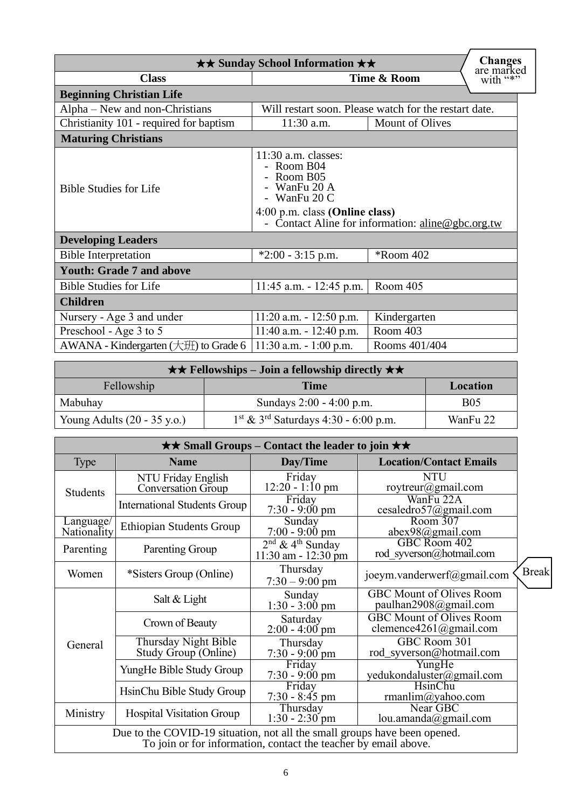| $\star\star$ Sunday School Information $\star\star$                                                                                               |                                                       |                        |  |  |
|---------------------------------------------------------------------------------------------------------------------------------------------------|-------------------------------------------------------|------------------------|--|--|
| <b>Class</b>                                                                                                                                      | Time & Room                                           | are marked<br>with "*" |  |  |
| <b>Beginning Christian Life</b>                                                                                                                   |                                                       |                        |  |  |
| Alpha – New and non-Christians                                                                                                                    | Will restart soon. Please watch for the restart date. |                        |  |  |
| Christianity 101 - required for baptism                                                                                                           | 11:30 a.m.<br><b>Mount of Olives</b>                  |                        |  |  |
| <b>Maturing Christians</b>                                                                                                                        |                                                       |                        |  |  |
| $11:30$ a.m. classes:<br>- Room B04<br>Room B05<br>WanFu 20 A<br><b>Bible Studies for Life</b><br>- WanFu $20C$<br>4:00 p.m. class (Online class) |                                                       |                        |  |  |
|                                                                                                                                                   | Contact Aline for information: aline@gbc.org.tw       |                        |  |  |
| <b>Developing Leaders</b>                                                                                                                         |                                                       |                        |  |  |
| <b>Bible Interpretation</b>                                                                                                                       | $*2:00 - 3:15$ p.m.<br><i>*Room 402</i>               |                        |  |  |
| <b>Youth: Grade 7 and above</b>                                                                                                                   |                                                       |                        |  |  |
| <b>Bible Studies for Life</b>                                                                                                                     | $11:45$ a.m. $-12:45$ p.m.                            | Room 405               |  |  |
| <b>Children</b>                                                                                                                                   |                                                       |                        |  |  |
| Nursery - Age 3 and under                                                                                                                         | $11:20$ a.m. $-12:50$ p.m.                            | Kindergarten           |  |  |
| Preschool - Age 3 to 5<br>$11:40$ a.m. $-12:40$ p.m.                                                                                              |                                                       | Room 403               |  |  |
| AWANA - Kindergarten $(\pm 1)$ to Grade 6                                                                                                         | $11:30$ a.m. $-1:00$ p.m.                             | Rooms 401/404          |  |  |

|                                       | $\star \star$ Fellowships – Join a fellowship directly $\star \star$ |            |
|---------------------------------------|----------------------------------------------------------------------|------------|
| Fellowship                            | Time                                                                 | Location   |
| Mabuhay                               | Sundays 2:00 - 4:00 p.m.                                             | <b>B05</b> |
| Young Adults $(20 - 35 \text{ y.o.})$ | $1st$ & 3 <sup>rd</sup> Saturdays 4:30 - 6:00 p.m.                   | WanFu 22   |

| $\star\star$ Small Groups – Contact the leader to join $\star\star$ |                                                                                                                                              |                                                              |                                                           |              |
|---------------------------------------------------------------------|----------------------------------------------------------------------------------------------------------------------------------------------|--------------------------------------------------------------|-----------------------------------------------------------|--------------|
| Type                                                                | <b>Name</b>                                                                                                                                  | Day/Time<br><b>Location/Contact Emails</b>                   |                                                           |              |
| <b>Students</b>                                                     | NTU Friday English<br>Conversation Group                                                                                                     | Friday<br>$12:20 - 1:10$ pm                                  | <b>NTU</b><br>roytreur@gmail.com                          |              |
|                                                                     | International Students Group                                                                                                                 | Friday<br>$7:30 - 9:00 \text{ pm}$                           | WanFu 22A<br>cesaledro57@gmail.com                        |              |
| Language/<br>Nationality                                            | Ethiopian Students Group                                                                                                                     | Sunday<br>$7:00 - 9:00$ pm                                   | Room $307$<br>abex98@gmail.com                            |              |
| Parenting                                                           | Parenting Group                                                                                                                              | $2^{nd}$ & 4 <sup>th</sup> Sunday<br>$11:30$ am - $12:30$ pm | GBC Room 402<br>rod syverson@hotmail.com                  |              |
| Women                                                               | *Sisters Group (Online)                                                                                                                      | Thursday<br>$7:30 - 9:00$ pm                                 | joeym.vanderwerf@gmail.com                                | <b>Break</b> |
|                                                                     | Salt & Light                                                                                                                                 | Sunday<br>$1:30 - 3:00$ pm                                   | GBC Mount of Olives Room<br>paulhan2908@gmail.com         |              |
|                                                                     | Crown of Beauty                                                                                                                              | Saturday<br>$2:00 - 4:00$ pm                                 | <b>GBC Mount of Olives Room</b><br>clemence4261@gmail.com |              |
| General                                                             | Thursday Night Bible<br>Study Group (Online)                                                                                                 | Thursday<br>$7:30 - 9:00$ pm                                 | GBC Room 301<br>rod_syverson@hotmail.com                  |              |
|                                                                     | YungHe Bible Study Group                                                                                                                     | Friday<br>$7:30 - 9:00 \text{ pm}$                           | YungHe<br>yedukondaluster@gmail.com                       |              |
|                                                                     | HsinChu Bible Study Group                                                                                                                    | Friday<br>$7:30 - 8:45$ pm                                   | HsinChu<br>rmanlim@yahoo.com                              |              |
| Ministry                                                            | <b>Hospital Visitation Group</b>                                                                                                             | Thursday<br>$1:30 - 2:30$ pm                                 | Near GBC<br>lou.amanda@gmail.com                          |              |
|                                                                     | Due to the COVID-19 situation, not all the small groups have been opened.<br>To join or for information, contact the teacher by email above. |                                                              |                                                           |              |